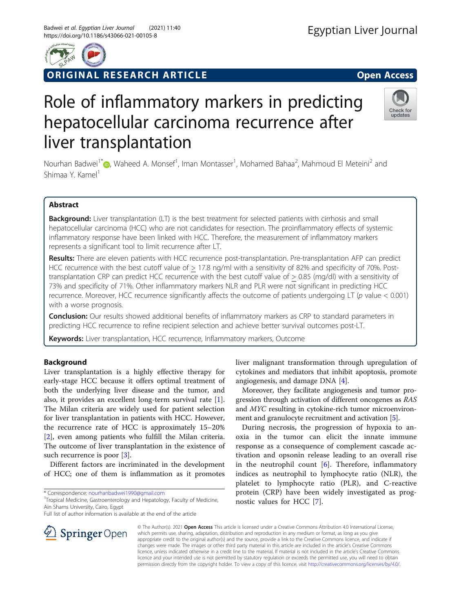

ORIGINAL RESEARCH ARTICLE **Solution Contract Contract Contract Contract Contract Contract Contract Contract Contract Contract Contract Contract Contract Contract Contract Contract Contract Contract Contract Contract Contra** 

## Check for undates

# Role of inflammatory markers in predicting hepatocellular carcinoma recurrence after liver transplantation

Nourhan Badwei<sup>1[\\*](http://orcid.org/0000-0002-7658-2591)</sup> (D), Waheed A. Monsef<sup>1</sup>, Iman Montasser<sup>1</sup>, Mohamed Bahaa<sup>2</sup>, Mahmoud El Meteini<sup>2</sup> and Shimaa Y. Kamel<sup>1</sup>

## Abstract

Background: Liver transplantation (LT) is the best treatment for selected patients with cirrhosis and small hepatocellular carcinoma (HCC) who are not candidates for resection. The proinflammatory effects of systemic inflammatory response have been linked with HCC. Therefore, the measurement of inflammatory markers represents a significant tool to limit recurrence after LT.

Results: There are eleven patients with HCC recurrence post-transplantation. Pre-transplantation AFP can predict HCC recurrence with the best cutoff value of > 17.8 ng/ml with a sensitivity of 82% and specificity of 70%. Posttransplantation CRP can predict HCC recurrence with the best cutoff value of > 0.85 (mg/dl) with a sensitivity of 73% and specificity of 71%. Other inflammatory markers NLR and PLR were not significant in predicting HCC recurrence. Moreover, HCC recurrence significantly affects the outcome of patients undergoing LT (p value < 0.001) with a worse prognosis.

**Conclusion:** Our results showed additional benefits of inflammatory markers as CRP to standard parameters in predicting HCC recurrence to refine recipient selection and achieve better survival outcomes post-LT.

Keywords: Liver transplantation, HCC recurrence, Inflammatory markers, Outcome

## Background

Liver transplantation is a highly effective therapy for early-stage HCC because it offers optimal treatment of both the underlying liver disease and the tumor, and also, it provides an excellent long-term survival rate [\[1](#page-8-0)]. The Milan criteria are widely used for patient selection for liver transplantation in patients with HCC. However, the recurrence rate of HCC is approximately 15–20% [[2\]](#page-8-0), even among patients who fulfill the Milan criteria. The outcome of liver transplantation in the existence of such recurrence is poor [[3\]](#page-8-0).

Different factors are incriminated in the development of HCC; one of them is inflammation as it promotes

\* Correspondence: [nourhanbadwei1990@gmail.com](mailto:nourhanbadwei1990@gmail.com) <sup>1</sup>

<sup>1</sup>Tropical Medicine, Gastroenterology and Hepatology, Faculty of Medicine, Ain Shams University, Cairo, Egypt

Full list of author information is available at the end of the article



Moreover, they facilitate angiogenesis and tumor progression through activation of different oncogenes as RAS and MYC resulting in cytokine-rich tumor microenvironment and granulocyte recruitment and activation [[5\]](#page-8-0).

During necrosis, the progression of hypoxia to anoxia in the tumor can elicit the innate immune response as a consequence of complement cascade activation and opsonin release leading to an overall rise in the neutrophil count  $[6]$  $[6]$  $[6]$ . Therefore, inflammatory indices as neutrophil to lymphocyte ratio (NLR), the platelet to lymphocyte ratio (PLR), and C-reactive protein (CRP) have been widely investigated as prognostic values for HCC [\[7](#page-8-0)].



© The Author(s). 2021 Open Access This article is licensed under a Creative Commons Attribution 4.0 International License, which permits use, sharing, adaptation, distribution and reproduction in any medium or format, as long as you give appropriate credit to the original author(s) and the source, provide a link to the Creative Commons licence, and indicate if changes were made. The images or other third party material in this article are included in the article's Creative Commons licence, unless indicated otherwise in a credit line to the material. If material is not included in the article's Creative Commons licence and your intended use is not permitted by statutory regulation or exceeds the permitted use, you will need to obtain permission directly from the copyright holder. To view a copy of this licence, visit <http://creativecommons.org/licenses/by/4.0/>.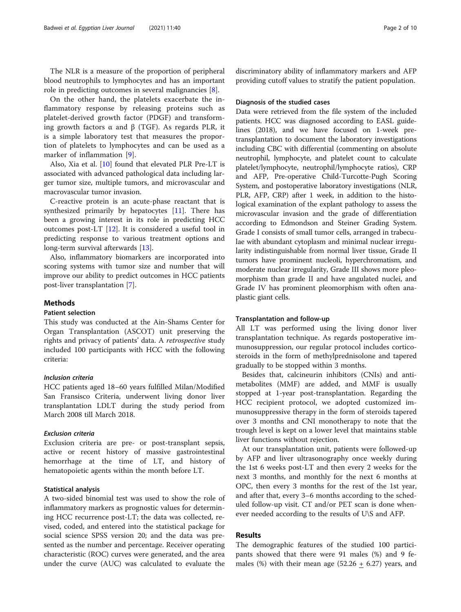The NLR is a measure of the proportion of peripheral blood neutrophils to lymphocytes and has an important role in predicting outcomes in several malignancies [\[8](#page-8-0)].

On the other hand, the platelets exacerbate the inflammatory response by releasing proteins such as platelet-derived growth factor (PDGF) and transforming growth factors  $\alpha$  and  $\beta$  (TGF). As regards PLR, it is a simple laboratory test that measures the proportion of platelets to lymphocytes and can be used as a marker of inflammation [[9\]](#page-8-0).

Also, Xia et al. [\[10\]](#page-8-0) found that elevated PLR Pre-LT is associated with advanced pathological data including larger tumor size, multiple tumors, and microvascular and macrovascular tumor invasion.

C-reactive protein is an acute-phase reactant that is synthesized primarily by hepatocytes [\[11](#page-8-0)]. There has been a growing interest in its role in predicting HCC outcomes post-LT [[12\]](#page-8-0). It is considered a useful tool in predicting response to various treatment options and long-term survival afterwards [\[13](#page-8-0)].

Also, inflammatory biomarkers are incorporated into scoring systems with tumor size and number that will improve our ability to predict outcomes in HCC patients post-liver transplantation [\[7](#page-8-0)].

## **Methods**

## Patient selection

This study was conducted at the Ain-Shams Center for Organ Transplantation (ASCOT) unit preserving the rights and privacy of patients' data. A retrospective study included 100 participants with HCC with the following criteria:

## Inclusion criteria

HCC patients aged 18–60 years fulfilled Milan/Modified San Fransisco Criteria, underwent living donor liver transplantation LDLT during the study period from March 2008 till March 2018.

#### Exclusion criteria

Exclusion criteria are pre- or post-transplant sepsis, active or recent history of massive gastrointestinal hemorrhage at the time of LT, and history of hematopoietic agents within the month before LT.

## Statistical analysis

A two-sided binomial test was used to show the role of inflammatory markers as prognostic values for determining HCC recurrence post-LT; the data was collected, revised, coded, and entered into the statistical package for social science SPSS version 20; and the data was presented as the number and percentage. Receiver operating characteristic (ROC) curves were generated, and the area under the curve (AUC) was calculated to evaluate the

discriminatory ability of inflammatory markers and AFP providing cutoff values to stratify the patient population.

## Diagnosis of the studied cases

Data were retrieved from the file system of the included patients. HCC was diagnosed according to EASL guidelines (2018), and we have focused on 1-week pretransplantation to document the laboratory investigations including CBC with differential (commenting on absolute neutrophil, lymphocyte, and platelet count to calculate platelet/lymphocyte, neutrophil/lymphocyte ratios), CRP and AFP, Pre-operative Child-Turcotte-Pugh Scoring System, and postoperative laboratory investigations (NLR, PLR, AFP, CRP) after 1 week, in addition to the histological examination of the explant pathology to assess the microvascular invasion and the grade of differentiation according to Edmondson and Steiner Grading System. Grade I consists of small tumor cells, arranged in trabeculae with abundant cytoplasm and minimal nuclear irregularity indistinguishable from normal liver tissue, Grade II tumors have prominent nucleoli, hyperchromatism, and moderate nuclear irregularity, Grade III shows more pleomorphism than grade II and have angulated nuclei, and Grade IV has prominent pleomorphism with often anaplastic giant cells.

#### Transplantation and follow-up

All LT was performed using the living donor liver transplantation technique. As regards postoperative immunosuppression, our regular protocol includes corticosteroids in the form of methylprednisolone and tapered gradually to be stopped within 3 months.

Besides that, calcineurin inhibitors (CNIs) and antimetabolites (MMF) are added, and MMF is usually stopped at 1-year post-transplantation. Regarding the HCC recipient protocol, we adopted customized immunosuppressive therapy in the form of steroids tapered over 3 months and CNI monotherapy to note that the trough level is kept on a lower level that maintains stable liver functions without rejection.

At our transplantation unit, patients were followed-up by AFP and liver ultrasonography once weekly during the 1st 6 weeks post-LT and then every 2 weeks for the next 3 months, and monthly for the next 6 months at OPC, then every 3 months for the rest of the 1st year, and after that, every 3–6 months according to the scheduled follow-up visit. CT and/or PET scan is done whenever needed according to the results of U\S and AFP.

#### Results

The demographic features of the studied 100 participants showed that there were 91 males (%) and 9 females (%) with their mean age (52.26  $\pm$  6.27) years, and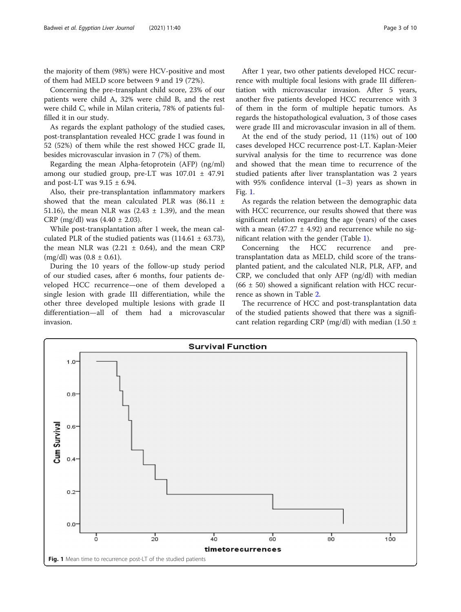the majority of them (98%) were HCV-positive and most of them had MELD score between 9 and 19 (72%).

Concerning the pre-transplant child score, 23% of our patients were child A, 32% were child B, and the rest were child C, while in Milan criteria, 78% of patients fulfilled it in our study.

As regards the explant pathology of the studied cases, post-transplantation revealed HCC grade I was found in 52 (52%) of them while the rest showed HCC grade II, besides microvascular invasion in 7 (7%) of them.

Regarding the mean Alpha-fetoprotein (AFP) (ng/ml) among our studied group, pre-LT was  $107.01 \pm 47.91$ and post-LT was  $9.15 \pm 6.94$ .

Also, their pre-transplantation inflammatory markers showed that the mean calculated PLR was  $(86.11 \pm$ 51.16), the mean NLR was  $(2.43 \pm 1.39)$ , and the mean CRP (mg/dl) was  $(4.40 \pm 2.03)$ .

While post-transplantation after 1 week, the mean calculated PLR of the studied patients was  $(114.61 \pm 63.73)$ , the mean NLR was  $(2.21 \pm 0.64)$ , and the mean CRP  $(mg/dl)$  was  $(0.8 \pm 0.61)$ .

During the 10 years of the follow-up study period of our studied cases, after 6 months, four patients developed HCC recurrence—one of them developed a single lesion with grade III differentiation, while the other three developed multiple lesions with grade II differentiation—all of them had a microvascular invasion.

After 1 year, two other patients developed HCC recurrence with multiple focal lesions with grade III differentiation with microvascular invasion. After 5 years, another five patients developed HCC recurrence with 3 of them in the form of multiple hepatic tumors. As regards the histopathological evaluation, 3 of those cases were grade III and microvascular invasion in all of them.

At the end of the study period, 11 (11%) out of 100 cases developed HCC recurrence post-LT. Kaplan-Meier survival analysis for the time to recurrence was done and showed that the mean time to recurrence of the studied patients after liver transplantation was 2 years with 95% confidence interval (1–3) years as shown in Fig. 1.

As regards the relation between the demographic data with HCC recurrence, our results showed that there was significant relation regarding the age (years) of the cases with a mean (47.27  $\pm$  4.92) and recurrence while no significant relation with the gender (Table [1](#page-3-0)).

Concerning the HCC recurrence and pretransplantation data as MELD, child score of the transplanted patient, and the calculated NLR, PLR, AFP, and CRP, we concluded that only AFP (ng/dl) with median  $(66 \pm 50)$  showed a significant relation with HCC recurrence as shown in Table [2](#page-3-0).

The recurrence of HCC and post-transplantation data of the studied patients showed that there was a significant relation regarding CRP (mg/dl) with median (1.50  $\pm$ 

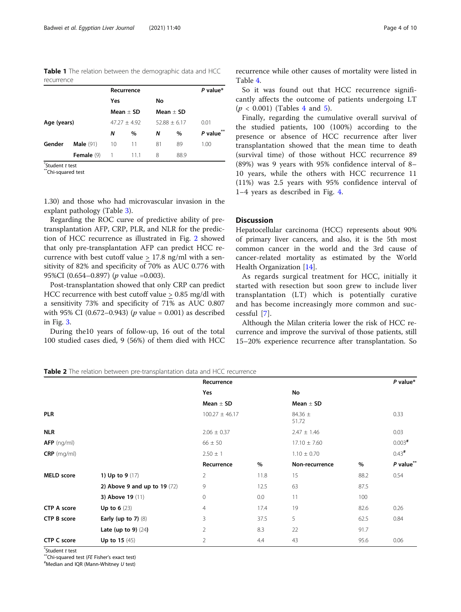<span id="page-3-0"></span>Table 1 The relation between the demographic data and HCC recurrence

|             |                    | Recurrence  | P value*       |             |                |             |
|-------------|--------------------|-------------|----------------|-------------|----------------|-------------|
|             |                    | Yes         |                | No.         |                |             |
|             |                    | $Mean + SD$ |                | $Mean + SD$ |                |             |
| Age (years) |                    |             | $47.27 + 4.92$ |             | $52.88 + 6.17$ | 0.01        |
|             |                    | Ν           | $\%$           | N           | $\%$           | $P$ value** |
| Gender      | <b>Male</b> $(91)$ | 10          | 11             | 81          | 89             | 1.00        |
|             | Female (9)         | 1           | 11.1           | 8           | 88.9           |             |

 $\check{}$ Student t test

\*Chi-sauared test

1.30) and those who had microvascular invasion in the explant pathology (Table [3\)](#page-4-0).

Regarding the ROC curve of predictive ability of pretransplantation AFP, CRP, PLR, and NLR for the prediction of HCC recurrence as illustrated in Fig. [2](#page-4-0) showed that only pre-transplantation AFP can predict HCC recurrence with best cutoff value > 17.8 ng/ml with a sensitivity of 82% and specificity of 70% as AUC 0.776 with 95%CI (0.654–0.897) (p value =0.003).

Post-transplantation showed that only CRP can predict HCC recurrence with best cutoff value > 0.85 mg/dl with a sensitivity 73% and specificity of 71% as AUC 0.807 with 95% CI (0.672–0.943) ( $p$  value = 0.001) as described in Fig. [3.](#page-5-0)

During the10 years of follow-up, 16 out of the total 100 studied cases died, 9 (56%) of them died with HCC recurrence while other causes of mortality were listed in Table [4.](#page-5-0)

So it was found out that HCC recurrence significantly affects the outcome of patients undergoing LT  $(p < 0.001)$  (Tables [4](#page-5-0) and [5](#page-6-0)).

Finally, regarding the cumulative overall survival of the studied patients, 100 (100%) according to the presence or absence of HCC recurrence after liver transplantation showed that the mean time to death (survival time) of those without HCC recurrence 89 (89%) was 9 years with 95% confidence interval of 8– 10 years, while the others with HCC recurrence 11 (11%) was 2.5 years with 95% confidence interval of 1–4 years as described in Fig. [4](#page-6-0).

## **Discussion**

Hepatocellular carcinoma (HCC) represents about 90% of primary liver cancers, and also, it is the 5th most common cancer in the world and the 3rd cause of cancer-related mortality as estimated by the World Health Organization [[14](#page-8-0)].

As regards surgical treatment for HCC, initially it started with resection but soon grew to include liver transplantation (LT) which is potentially curative and has become increasingly more common and successful [\[7\]](#page-8-0).

Although the Milan criteria lower the risk of HCC recurrence and improve the survival of those patients, still 15–20% experience recurrence after transplantation. So

Table 2 The relation between pre-transplantation data and HCC recurrence

|                    |                               | Recurrence         |      |                      |      | $P$ value*           |
|--------------------|-------------------------------|--------------------|------|----------------------|------|----------------------|
|                    |                               | Yes                |      | No                   |      |                      |
|                    |                               | Mean $\pm$ SD      |      | Mean $\pm$ SD        |      |                      |
| <b>PLR</b>         |                               | $100.27 \pm 46.17$ |      | 84.36 $\pm$<br>51.72 |      | 0.33                 |
| <b>NLR</b>         |                               | $2.06 \pm 0.37$    |      | $2.47 \pm 1.46$      |      | 0.03                 |
| $AFP$ (ng/ml)      |                               | $66 \pm 50$        |      | $17.10 \pm 7.60$     |      | $0.003$ <sup>#</sup> |
| $CRP$ (mg/ml)      |                               | $2.50 \pm 1$       |      | $1.10 \pm 0.70$      |      | $0.43*$              |
|                    |                               | Recurrence         | %    | Non-recurrence       | $\%$ | $P$ value $**$       |
| <b>MELD</b> score  | 1) Up to $9(17)$              | $\overline{2}$     | 11.8 | 15                   | 88.2 | 0.54                 |
|                    | 2) Above 9 and up to $19(72)$ | 9                  | 12.5 | 63                   | 87.5 |                      |
|                    | <b>3) Above 19 (11)</b>       | 0                  | 0.0  | 11                   | 100  |                      |
| <b>CTP A score</b> | <b>Up to 6</b> $(23)$         | 4                  | 17.4 | 19                   | 82.6 | 0.26                 |
| <b>CTP B score</b> | Early (up to $7$ ) (8)        | 3                  | 37.5 | 5                    | 62.5 | 0.84                 |
|                    | Late (up to 9) $(24)$         | $\overline{2}$     | 8.3  | 22                   | 91.7 |                      |
| <b>CTP C score</b> | Up to 15 $(45)$               | $\overline{2}$     | 4.4  | 43                   | 95.6 | 0.06                 |

 $\check{}$ Student t test

 $\sqrt{\ }$ Chi-squared test (FE Fisher's exact test)

 $*$ Median and IQR (Mann-Whitney  $U$  test)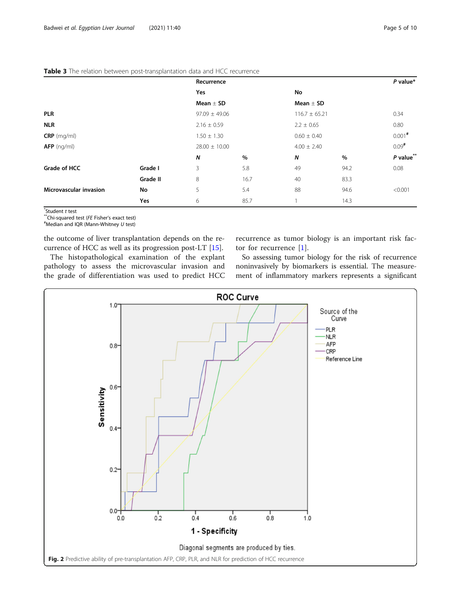|                               |          | Recurrence        |      |                   |      | $P$ value*           |
|-------------------------------|----------|-------------------|------|-------------------|------|----------------------|
|                               |          | Yes               |      | No                |      |                      |
|                               |          | Mean $\pm$ SD     |      | Mean $\pm$ SD     |      |                      |
| <b>PLR</b>                    |          | $97.09 \pm 49.06$ |      | $116.7 \pm 65.21$ |      | 0.34                 |
| <b>NLR</b>                    |          | $2.16 \pm 0.59$   |      | $2.2 \pm 0.65$    |      | 0.80                 |
| $CRP$ (mg/ml)                 |          | $1.50 \pm 1.30$   |      | $0.60 \pm 0.40$   |      | $0.001$ <sup>#</sup> |
| $AFP$ (ng/ml)                 |          | $28.00 \pm 10.00$ |      | $4.00 \pm 2.40$   |      | $0.09$ <sup>#</sup>  |
|                               |          | N                 | $\%$ | N                 | %    | $P$ value**          |
| Grade of HCC                  | Grade I  | 3                 | 5.8  | 49                | 94.2 | 0.08                 |
|                               | Grade II | 8                 | 16.7 | 40                | 83.3 |                      |
| <b>Microvascular invasion</b> | No       | 5                 | 5.4  | 88                | 94.6 | < 0.001              |
|                               | Yes      | 6                 | 85.7 |                   | 14.3 |                      |

#### <span id="page-4-0"></span>Table 3 The relation between post-transplantation data and HCC recurrence

 $\overline{\mathsf{t}}$ Student t test

 $*$ <sup>\*\*</sup>Chi-squared test (FE Fisher's exact test)

 $*$ Median and IQR (Mann-Whitney  $U$  test)

the outcome of liver transplantation depends on the recurrence of HCC as well as its progression post-LT [\[15](#page-8-0)].

The histopathological examination of the explant pathology to assess the microvascular invasion and the grade of differentiation was used to predict HCC recurrence as tumor biology is an important risk factor for recurrence [[1\]](#page-8-0).

So assessing tumor biology for the risk of recurrence noninvasively by biomarkers is essential. The measurement of inflammatory markers represents a significant

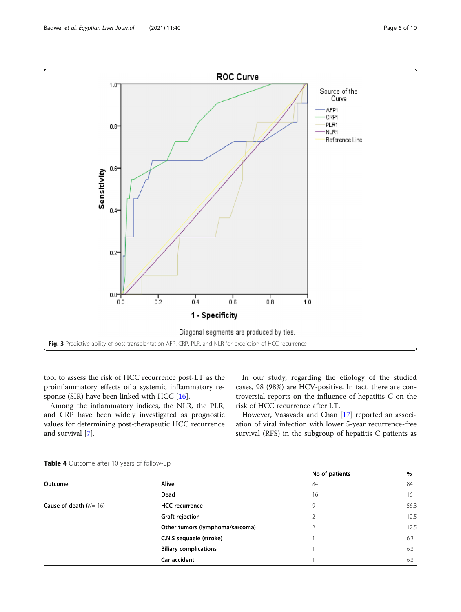<span id="page-5-0"></span>

tool to assess the risk of HCC recurrence post-LT as the proinflammatory effects of a systemic inflammatory response (SIR) have been linked with HCC [[16](#page-8-0)].

Among the inflammatory indices, the NLR, the PLR, and CRP have been widely investigated as prognostic values for determining post-therapeutic HCC recurrence and survival [\[7\]](#page-8-0).

In our study, regarding the etiology of the studied cases, 98 (98%) are HCV-positive. In fact, there are controversial reports on the influence of hepatitis C on the risk of HCC recurrence after LT.

However, Vasavada and Chan [[17\]](#page-8-0) reported an association of viral infection with lower 5-year recurrence-free survival (RFS) in the subgroup of hepatitis C patients as

|                         |                                 | No of patients | $\%$ |
|-------------------------|---------------------------------|----------------|------|
| Outcome                 | <b>Alive</b>                    | 84             | 84   |
|                         | Dead                            | 16             | 16   |
| Cause of death $(N=16)$ | <b>HCC</b> recurrence           | 9              | 56.3 |
|                         | <b>Graft rejection</b>          | 2              | 12.5 |
|                         | Other tumors (lymphoma/sarcoma) |                | 12.5 |
|                         | C.N.S sequaele (stroke)         |                | 6.3  |
|                         | <b>Biliary complications</b>    |                | 6.3  |
|                         | Car accident                    |                | 6.3  |

## Table 4 Outcome after 10 years of follow-up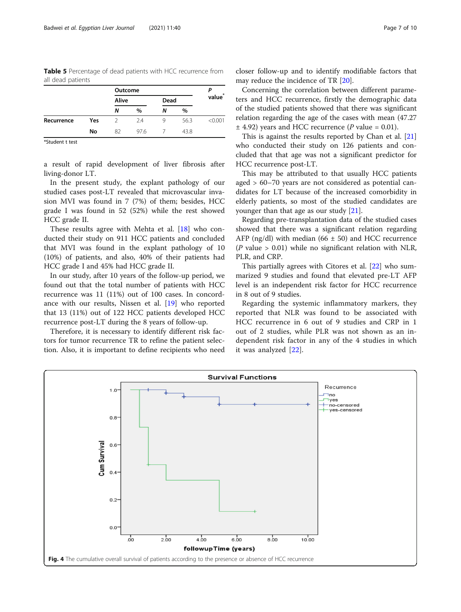<span id="page-6-0"></span>Table 5 Percentage of dead patients with HCC recurrence from all dead patients

|            |     | Outcome       |      |      |      | $\boldsymbol{\ast}$ |  |
|------------|-----|---------------|------|------|------|---------------------|--|
|            |     | Alive         |      | Dead |      | value               |  |
|            |     | Ν             | $\%$ | Ν    | $\%$ |                     |  |
| Recurrence | Yes | $\mathcal{D}$ | 2.4  | 9    | 56.3 | < 0.001             |  |
|            | No  | 82            | 97.6 |      | 43.8 |                     |  |

\*Student t test

a result of rapid development of liver fibrosis after living-donor LT.

In the present study, the explant pathology of our studied cases post-LT revealed that microvascular invasion MVI was found in 7 (7%) of them; besides, HCC grade I was found in 52 (52%) while the rest showed HCC grade II.

These results agree with Mehta et al. [[18\]](#page-8-0) who conducted their study on 911 HCC patients and concluded that MVI was found in the explant pathology of 10 (10%) of patients, and also, 40% of their patients had HCC grade I and 45% had HCC grade II.

In our study, after 10 years of the follow-up period, we found out that the total number of patients with HCC recurrence was 11 (11%) out of 100 cases. In concordance with our results, Nissen et al. [\[19\]](#page-9-0) who reported that 13 (11%) out of 122 HCC patients developed HCC recurrence post-LT during the 8 years of follow-up.

Therefore, it is necessary to identify different risk factors for tumor recurrence TR to refine the patient selection. Also, it is important to define recipients who need

closer follow-up and to identify modifiable factors that may reduce the incidence of TR [\[20\]](#page-9-0).

Concerning the correlation between different parameters and HCC recurrence, firstly the demographic data of the studied patients showed that there was significant relation regarding the age of the cases with mean (47.27  $\pm$  4.92) years and HCC recurrence (*P* value = 0.01).

This is against the results reported by Chan et al. [[21](#page-9-0)] who conducted their study on 126 patients and concluded that that age was not a significant predictor for HCC recurrence post-LT.

This may be attributed to that usually HCC patients aged > 60–70 years are not considered as potential candidates for LT because of the increased comorbidity in elderly patients, so most of the studied candidates are younger than that age as our study [[21](#page-9-0)].

Regarding pre-transplantation data of the studied cases showed that there was a significant relation regarding AFP (ng/dl) with median (66  $\pm$  50) and HCC recurrence (*P* value  $> 0.01$ ) while no significant relation with NLR, PLR, and CRP.

This partially agrees with Citores et al. [[22](#page-9-0)] who summarized 9 studies and found that elevated pre-LT AFP level is an independent risk factor for HCC recurrence in 8 out of 9 studies.

Regarding the systemic inflammatory markers, they reported that NLR was found to be associated with HCC recurrence in 6 out of 9 studies and CRP in 1 out of 2 studies, while PLR was not shown as an independent risk factor in any of the 4 studies in which it was analyzed [[22\]](#page-9-0).

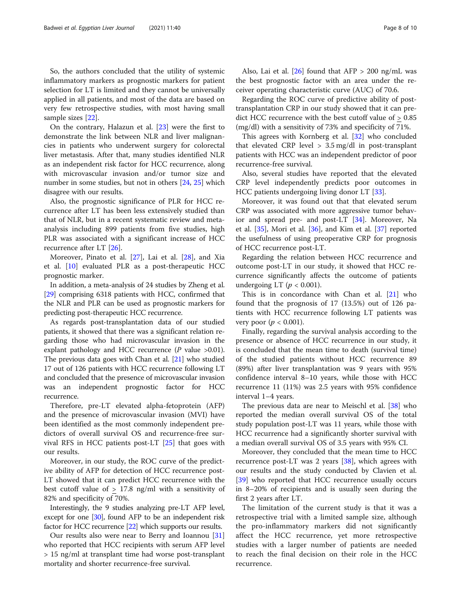So, the authors concluded that the utility of systemic inflammatory markers as prognostic markers for patient selection for LT is limited and they cannot be universally applied in all patients, and most of the data are based on very few retrospective studies, with most having small sample sizes [\[22\]](#page-9-0).

On the contrary, Halazun et al. [[23\]](#page-9-0) were the first to demonstrate the link between NLR and liver malignancies in patients who underwent surgery for colorectal liver metastasis. After that, many studies identified NLR as an independent risk factor for HCC recurrence, along with microvascular invasion and/or tumor size and number in some studies, but not in others [\[24](#page-9-0), [25](#page-9-0)] which disagree with our results.

Also, the prognostic significance of PLR for HCC recurrence after LT has been less extensively studied than that of NLR, but in a recent systematic review and metaanalysis including 899 patients from five studies, high PLR was associated with a significant increase of HCC recurrence after LT [\[26\]](#page-9-0).

Moreover, Pinato et al. [\[27](#page-9-0)], Lai et al. [\[28](#page-9-0)], and Xia et al. [[10\]](#page-8-0) evaluated PLR as a post-therapeutic HCC prognostic marker.

In addition, a meta-analysis of 24 studies by Zheng et al. [[29](#page-9-0)] comprising 6318 patients with HCC, confirmed that the NLR and PLR can be used as prognostic markers for predicting post-therapeutic HCC recurrence.

As regards post-transplantation data of our studied patients, it showed that there was a significant relation regarding those who had microvascular invasion in the explant pathology and HCC recurrence  $(P \text{ value } > 0.01)$ . The previous data goes with Chan et al. [\[21\]](#page-9-0) who studied 17 out of 126 patients with HCC recurrence following LT and concluded that the presence of microvascular invasion was an independent prognostic factor for HCC recurrence.

Therefore, pre-LT elevated alpha-fetoprotein (AFP) and the presence of microvascular invasion (MVI) have been identified as the most commonly independent predictors of overall survival OS and recurrence-free survival RFS in HCC patients post-LT [\[25](#page-9-0)] that goes with our results.

Moreover, in our study, the ROC curve of the predictive ability of AFP for detection of HCC recurrence post-LT showed that it can predict HCC recurrence with the best cutoff value of  $\geq$  17.8 ng/ml with a sensitivity of 82% and specificity of 70%.

Interestingly, the 9 studies analyzing pre-LT AFP level, except for one [\[30\]](#page-9-0), found AFP to be an independent risk factor for HCC recurrence [\[22](#page-9-0)] which supports our results.

Our results also were near to Berry and Ioannou [[31](#page-9-0)] who reported that HCC recipients with serum AFP level > 15 ng/ml at transplant time had worse post-transplant mortality and shorter recurrence-free survival.

Also, Lai et al.  $[26]$  found that AFP > 200 ng/mL was the best prognostic factor with an area under the receiver operating characteristic curve (AUC) of 70.6.

Regarding the ROC curve of predictive ability of posttransplantation CRP in our study showed that it can predict HCC recurrence with the best cutoff value of > 0.85 (mg/dl) with a sensitivity of 73% and specificity of 71%.

This agrees with Kornberg et al. [[32\]](#page-9-0) who concluded that elevated CRP level  $> 3.5$  mg/dl in post-transplant patients with HCC was an independent predictor of poor recurrence-free survival.

Also, several studies have reported that the elevated CRP level independently predicts poor outcomes in HCC patients undergoing living donor LT [[33\]](#page-9-0).

Moreover, it was found out that that elevated serum CRP was associated with more aggressive tumor behavior and spread pre- and post-LT [[34](#page-9-0)]. Moreover, Na et al. [[35\]](#page-9-0), Mori et al. [[36\]](#page-9-0), and Kim et al. [\[37\]](#page-9-0) reported the usefulness of using preoperative CRP for prognosis of HCC recurrence post-LT.

Regarding the relation between HCC recurrence and outcome post-LT in our study, it showed that HCC recurrence significantly affects the outcome of patients undergoing LT ( $p < 0.001$ ).

This is in concordance with Chan et al. [[21](#page-9-0)] who found that the prognosis of 17 (13.5%) out of 126 patients with HCC recurrence following LT patients was very poor ( $p < 0.001$ ).

Finally, regarding the survival analysis according to the presence or absence of HCC recurrence in our study, it is concluded that the mean time to death (survival time) of the studied patients without HCC recurrence 89 (89%) after liver transplantation was 9 years with 95% confidence interval 8–10 years, while those with HCC recurrence 11 (11%) was 2.5 years with 95% confidence interval 1–4 years.

The previous data are near to Meischl et al. [[38](#page-9-0)] who reported the median overall survival OS of the total study population post-LT was 11 years, while those with HCC recurrence had a significantly shorter survival with a median overall survival OS of 3.5 years with 95% CI.

Moreover, they concluded that the mean time to HCC recurrence post-LT was 2 years [\[38](#page-9-0)], which agrees with our results and the study conducted by Clavien et al. [[39\]](#page-9-0) who reported that HCC recurrence usually occurs in 8–20% of recipients and is usually seen during the first 2 years after LT.

The limitation of the current study is that it was a retrospective trial with a limited sample size, although the pro-inflammatory markers did not significantly affect the HCC recurrence, yet more retrospective studies with a larger number of patients are needed to reach the final decision on their role in the HCC recurrence.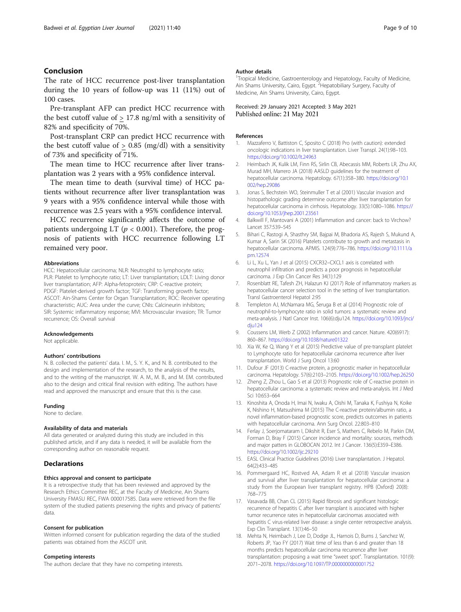## <span id="page-8-0"></span>Conclusion

The rate of HCC recurrence post-liver transplantation during the 10 years of follow-up was 11 (11%) out of 100 cases.

Pre-transplant AFP can predict HCC recurrence with the best cutoff value of  $> 17.8$  ng/ml with a sensitivity of 82% and specificity of 70%.

Post-transplant CRP can predict HCC recurrence with the best cutoff value of  $> 0.85$  (mg/dl) with a sensitivity of 73% and specificity of 71%.

The mean time to HCC recurrence after liver transplantation was 2 years with a 95% confidence interval.

The mean time to death (survival time) of HCC patients without recurrence after liver transplantation was 9 years with a 95% confidence interval while those with recurrence was 2.5 years with a 95% confidence interval.

HCC recurrence significantly affects the outcome of patients undergoing LT ( $p < 0.001$ ). Therefore, the prognosis of patients with HCC recurrence following LT remained very poor.

#### Abbreviations

HCC: Hepatocellular carcinoma; NLR: Neutrophil to lymphocyte ratio; PLR: Platelet to lymphocyte ratio; LT: Liver transplantation; LDLT: Living donor liver transplantation; AFP: Alpha-fetoprotein; CRP: C-reactive protein; PDGF: Platelet-derived growth factor; TGF: Transforming growth factor; ASCOT: Ain-Shams Center for Organ Transplantation; ROC: Receiver operating characteristic; AUC: Area under the curve; CNIs: Calcineurin inhibitors; SIR: Systemic inflammatory response; MVI: Microvascular invasion; TR: Tumor recurrence; OS: Overall survival

#### Acknowledgements

Not applicable.

#### Authors' contributions

N. B. collected the patients' data. I. M., S. Y. K., and N. B. contributed to the design and implementation of the research, to the analysis of the results, and to the writing of the manuscript. W. A. M., M. B., and M. EM. contributed also to the design and critical final revision with editing. The authors have read and approved the manuscript and ensure that this is the case.

#### Funding

None to declare.

#### Availability of data and materials

All data generated or analyzed during this study are included in this published article, and if any data is needed, it will be available from the corresponding author on reasonable request.

## **Declarations**

#### Ethics approval and consent to participate

It is a retrospective study that has been reviewed and approved by the Research Ethics Committee REC, at the Faculty of Medicine, Ain Shams University FMASU REC, FWA 000017585. Data were retrieved from the file system of the studied patients preserving the rights and privacy of patients' data.

#### Consent for publication

Written informed consent for publication regarding the data of the studied patients was obtained from the ASCOT unit.

#### Competing interests

The authors declare that they have no competing interests.

#### Author details

<sup>1</sup>Tropical Medicine, Gastroenterology and Hepatology, Faculty of Medicine Ain Shams University, Cairo, Egypt. <sup>2</sup> Hepatobiliary Surgery, Faculty of Medicine, Ain Shams University, Cairo, Egypt.

Received: 29 January 2021 Accepted: 3 May 2021 Published online: 21 May 2021

#### References

- 1. Mazzaferro V, Battiston C, Sposito C (2018) Pro (with caution): extended oncologic indications in liver transplantation. Liver Transpl. 24(1):98–103. <https://doi.org/10.1002/lt.24963>
- 2. Heimbach JK, Kulik LM, Finn RS, Sirlin CB, Abecassis MM, Roberts LR, Zhu AX, Murad MH, Marrero JA (2018) AASLD guidelines for the treatment of hepatocellular carcinoma. Hepatology. 67(1):358–380. [https://doi.org/10.1](https://doi.org/10.1002/hep.29086) [002/hep.29086](https://doi.org/10.1002/hep.29086)
- 3. Jonas S, Bechstein WO, Steinmuller T et al (2001) Vascular invasion and histopathologic grading determine outcome after liver transplantation for hepatocellular carcinoma in cirrhosis. Hepatology. 33(5):1080–1086. [https://](https://doi.org/10.1053/jhep.2001.23561) [doi.org/10.1053/jhep.2001.23561](https://doi.org/10.1053/jhep.2001.23561)
- 4. Balkwill F, Mantovani A (2001) Inflammation and cancer: back to Virchow? Lancet 357:539–545
- 5. Bihari C, Rastogi A, Shasthry SM, Bajpai M, Bhadoria AS, Rajesh S, Mukund A, Kumar A, Sarin SK (2016) Platelets contribute to growth and metastasis in hepatocellular carcinoma. APMIS. 124(9):776–786. [https://doi.org/10.1111/a](https://doi.org/10.1111/apm.12574) [pm.12574](https://doi.org/10.1111/apm.12574)
- 6. Li L, Xu L, Yan J et al (2015) CXCR32–CXCL1 axis is correlated with neutrophil infiltration and predicts a poor prognosis in hepatocellular carcinoma. J Exp Clin Cancer Res 34(1):129
- 7. Rosenblatt RE, Tafesh ZH, Halazun KJ (2017) Role of inflammatory markers as hepatocellular cancer selection tool in the setting of liver transplantation. Transl Gastroenterol Hepatol 2:95
- 8. Templeton AJ, McNamara MG, Šeruga B et al (2014) Prognostic role of neutrophil-to-lymphocyte ratio in solid tumors: a systematic review and meta-analysis. J Natl Cancer Inst. 106(6):dju124. [https://doi.org/10.1093/jnci/](https://doi.org/10.1093/jnci/dju124) [dju124](https://doi.org/10.1093/jnci/dju124)
- 9. Coussens LM, Werb Z (2002) Inflammation and cancer. Nature. 420(6917): 860–867. <https://doi.org/10.1038/nature01322>
- 10. Xia W, Ke Q, Wang Y et al (2015) Predictive value of pre-transplant platelet to Lymphocyte ratio for hepatocellular carcinoma recurrence after liver transplantation. World J Surg Oncol 13:60
- 11. Dufour JF (2013) C-reactive protein, a prognostic marker in hepatocellular carcinoma. Hepatology. 57(6):2103–2105. <https://doi.org/10.1002/hep.26250>
- 12. Zheng Z, Zhou L, Gao S et al (2013) Prognostic role of C-reactive protein in hepatocellular carcinoma: a systematic review and meta-analysis. Int J Med Sci 10:653–664
- 13. Kinoshita A, Onoda H, Imai N, Iwaku A, Oishi M, Tanaka K, Fushiya N, Koike K, Nishino H, Matsushima M (2015) The C-reactive protein/albumin ratio, a novel inflammation-based prognostic score, predicts outcomes in patients with hepatocellular carcinoma. Ann Surg Oncol. 22:803–810
- 14. Ferlay J, Soerjomataram I, Dikshit R, Eser S, Mathers C, Rebelo M, Parkin DM, Forman D, Bray F (2015) Cancer incidence and mortality: sources, methods and major patters in GLOBOCAN 2012. Int J Cancer. 136(5):E359–E386. <https://doi.org/10.1002/ijc.29210>
- 15. EASL Clinical Practice Guidelines (2016) Liver transplantation. J Hepatol. 64(2):433–485
- 16. Pommergaard HC, Rostved AA, Adam R et al (2018) Vascular invasion and survival after liver transplantation for hepatocellular carcinoma: a study from the European liver transplant registry. HPB (Oxford) 20(8): 768–775
- 17. Vasavada BB, Chan CL (2015) Rapid fibrosis and significant histologic recurrence of hepatitis C after liver transplant is associated with higher tumor recurrence rates in hepatocellular carcinomas associated with hepatitis C virus-related liver disease: a single center retrospective analysis. Exp Clin Transplant. 13(1):46–50
- 18. Mehta N, Heimbach J, Lee D, Dodge JL, Harnois D, Burns J, Sanchez W, Roberts JP, Yao FY (2017) Wait time of less than 6 and greater than 18 months predicts hepatocellular carcinoma recurrence after liver transplantation: proposing a wait time "sweet spot". Transplantation. 101(9): 2071–2078. <https://doi.org/10.1097/TP.0000000000001752>